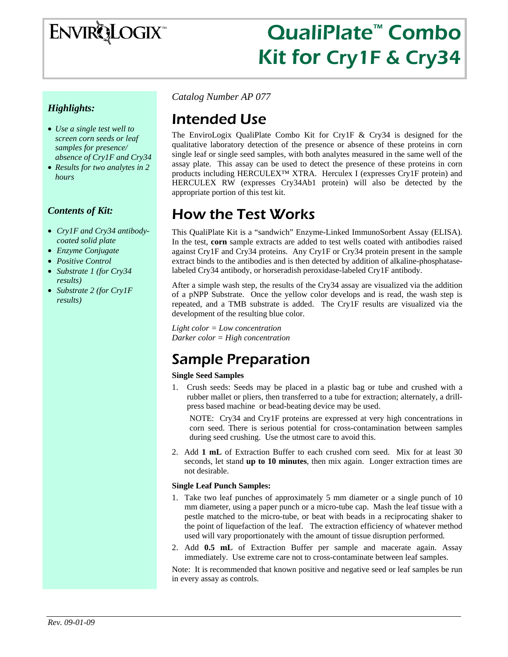

# QualiPlate™ Combo Kit for Cry1F & Cry34

#### *Highlights:*

- *Use a single test well to screen corn seeds or leaf samples for presence/ absence of Cry1F and Cry34*
- *Results for two analytes in 2 hours*

#### *Contents of Kit:*

- *Cry1F and Cry34 antibodycoated solid plate*
- *Enzyme Conjugate*
- *Positive Control*
- *Substrate 1 (for Cry34 results)*
- *Substrate 2 (for Cry1F results)*

*Catalog Number AP 077* 

# Intended Use

The EnviroLogix QualiPlate Combo Kit for Cry1F & Cry34 is designed for the qualitative laboratory detection of the presence or absence of these proteins in corn single leaf or single seed samples, with both analytes measured in the same well of the assay plate. This assay can be used to detect the presence of these proteins in corn products including HERCULEX™ XTRA. Herculex I (expresses Cry1F protein) and HERCULEX RW (expresses Cry34Ab1 protein) will also be detected by the appropriate portion of this test kit.

### How the Test Works

This QualiPlate Kit is a "sandwich" Enzyme-Linked ImmunoSorbent Assay (ELISA). In the test, **corn** sample extracts are added to test wells coated with antibodies raised against Cry1F and Cry34 proteins. Any Cry1F or Cry34 protein present in the sample extract binds to the antibodies and is then detected by addition of alkaline-phosphataselabeled Cry34 antibody, or horseradish peroxidase-labeled Cry1F antibody.

After a simple wash step, the results of the Cry34 assay are visualized via the addition of a pNPP Substrate. Once the yellow color develops and is read, the wash step is repeated, and a TMB substrate is added. The Cry1F results are visualized via the development of the resulting blue color.

*Light color = Low concentration Darker color = High concentration* 

# Sample Preparation

#### **Single Seed Samples**

1. Crush seeds: Seeds may be placed in a plastic bag or tube and crushed with a rubber mallet or pliers, then transferred to a tube for extraction; alternately, a drillpress based machine or bead-beating device may be used.

NOTE: Cry34 and Cry1F proteins are expressed at very high concentrations in corn seed. There is serious potential for cross-contamination between samples during seed crushing. Use the utmost care to avoid this.

2. Add **1 mL** of Extraction Buffer to each crushed corn seed. Mix for at least 30 seconds, let stand **up to 10 minutes**, then mix again. Longer extraction times are not desirable.

#### **Single Leaf Punch Samples:**

- 1. Take two leaf punches of approximately 5 mm diameter or a single punch of 10 mm diameter, using a paper punch or a micro-tube cap. Mash the leaf tissue with a pestle matched to the micro-tube, or beat with beads in a reciprocating shaker to the point of liquefaction of the leaf. The extraction efficiency of whatever method used will vary proportionately with the amount of tissue disruption performed*.*
- 2. Add **0.5 mL** of Extraction Buffer per sample and macerate again. Assay immediately. Use extreme care not to cross-contaminate between leaf samples.

Note: It is recommended that known positive and negative seed or leaf samples be run in every assay as controls.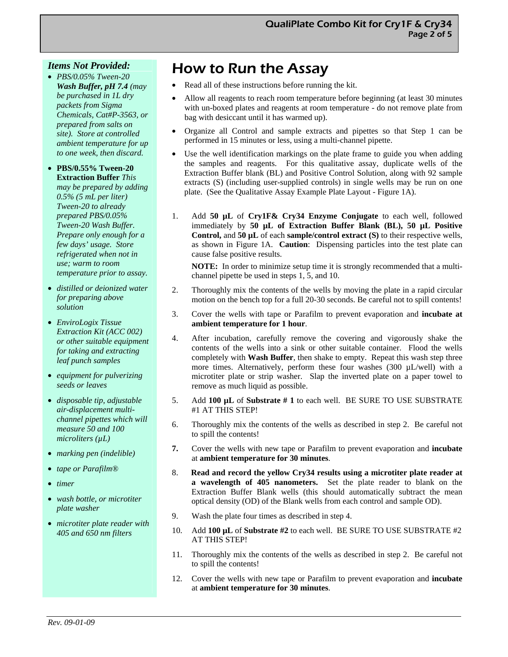#### *Items Not Provided:*

• *PBS/0.05% Tween-20 Wash Buffer, pH 7.4 (may be purchased in 1L dry packets from Sigma Chemicals, Cat#P-3563, or prepared from salts on site). Store at controlled ambient temperature for up to one week, then discard.* 

• **PBS/0.55% Tween-20 Extraction Buffer** *This may be prepared by adding 0.5% (5 mL per liter) Tween-20 to already prepared PBS/0.05% Tween-20 Wash Buffer. Prepare only enough for a few days' usage. Store refrigerated when not in use; warm to room temperature prior to assay.* 

- *distilled or deionized water for preparing above solution*
- *EnviroLogix Tissue Extraction Kit (ACC 002) or other suitable equipment for taking and extracting leaf punch samples*
- *equipment for pulverizing seeds or leaves*
- *disposable tip, adjustable air-displacement multichannel pipettes which will measure 50 and 100 microliters (µL)*
- *marking pen (indelible)*
- *tape or Parafilm®*
- *timer*
- *wash bottle, or microtiter plate washer*
- *microtiter plate reader with 405 and 650 nm filters*

# How to Run the Assay

- Read all of these instructions before running the kit.
- Allow all reagents to reach room temperature before beginning (at least 30 minutes with un-boxed plates and reagents at room temperature - do not remove plate from bag with desiccant until it has warmed up).
- Organize all Control and sample extracts and pipettes so that Step 1 can be performed in 15 minutes or less, using a multi-channel pipette.
- Use the well identification markings on the plate frame to guide you when adding the samples and reagents. For this qualitative assay, duplicate wells of the Extraction Buffer blank (BL) and Positive Control Solution, along with 92 sample extracts (S) (including user-supplied controls) in single wells may be run on one plate. (See the Qualitative Assay Example Plate Layout - Figure 1A).
- 1. Add **50 µL** of **Cry1F& Cry34 Enzyme Conjugate** to each well, followed immediately by **50 µL of Extraction Buffer Blank (BL), 50 µL Positive Control,** and **50 µL** of each **sample/control extract (S)** to their respective wells, as shown in Figure 1A. **Caution**: Dispensing particles into the test plate can cause false positive results.

**NOTE:** In order to minimize setup time it is strongly recommended that a multichannel pipette be used in steps 1, 5, and 10.

- 2. Thoroughly mix the contents of the wells by moving the plate in a rapid circular motion on the bench top for a full 20-30 seconds. Be careful not to spill contents!
- 3. Cover the wells with tape or Parafilm to prevent evaporation and **incubate at ambient temperature for 1 hour**.
- 4. After incubation, carefully remove the covering and vigorously shake the contents of the wells into a sink or other suitable container. Flood the wells completely with **Wash Buffer**, then shake to empty. Repeat this wash step three more times. Alternatively, perform these four washes (300 µL/well) with a microtiter plate or strip washer. Slap the inverted plate on a paper towel to remove as much liquid as possible.
- 5. Add **100 µL** of **Substrate # 1** to each well. BE SURE TO USE SUBSTRATE #1 AT THIS STEP!
- 6. Thoroughly mix the contents of the wells as described in step 2. Be careful not to spill the contents!
- **7.** Cover the wells with new tape or Parafilm to prevent evaporation and **incubate**  at **ambient temperature for 30 minutes**.
- 8. **Read and record the yellow Cry34 results using a microtiter plate reader at a wavelength of 405 nanometers.** Set the plate reader to blank on the Extraction Buffer Blank wells (this should automatically subtract the mean optical density (OD) of the Blank wells from each control and sample OD).
- 9. Wash the plate four times as described in step 4.
- 10. Add **100 µL** of **Substrate #2** to each well. BE SURE TO USE SUBSTRATE #2 AT THIS STEP!
- 11. Thoroughly mix the contents of the wells as described in step 2. Be careful not to spill the contents!
- 12. Cover the wells with new tape or Parafilm to prevent evaporation and **incubate**  at **ambient temperature for 30 minutes**.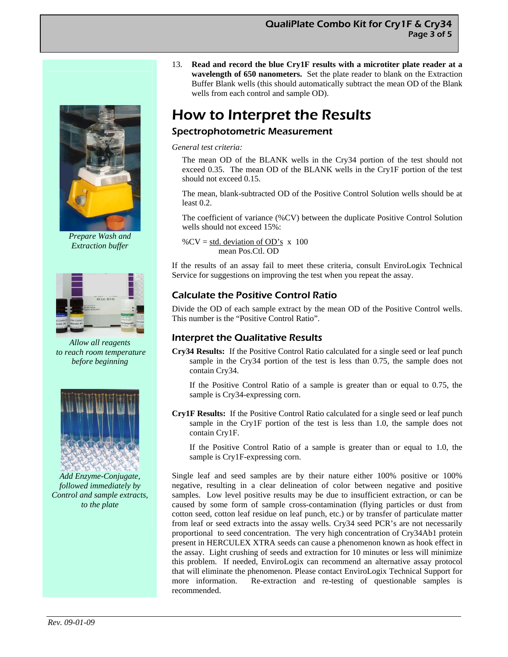

*Prepare Wash and Extraction buffer*



*Allow all reagents to reach room temperature before beginning*



*Add Enzyme-Conjugate, followed immediately by Control and sample extracts, to the plate* 

13. **Read and record the blue Cry1F results with a microtiter plate reader at a wavelength of 650 nanometers.** Set the plate reader to blank on the Extraction Buffer Blank wells (this should automatically subtract the mean OD of the Blank wells from each control and sample OD).

# How to Interpret the Results

### Spectrophotometric Measurement

*General test criteria:* 

The mean OD of the BLANK wells in the Cry34 portion of the test should not exceed 0.35. The mean OD of the BLANK wells in the Cry1F portion of the test should not exceed 0.15.

The mean, blank-subtracted OD of the Positive Control Solution wells should be at least 0.2.

The coefficient of variance (%CV) between the duplicate Positive Control Solution wells should not exceed 15%:

% $CV = std. deviation of OD's x 100$ mean Pos.Ctl. OD

If the results of an assay fail to meet these criteria, consult EnviroLogix Technical Service for suggestions on improving the test when you repeat the assay.

### Calculate the Positive Control Ratio

Divide the OD of each sample extract by the mean OD of the Positive Control wells. This number is the "Positive Control Ratio".

### Interpret the Qualitative Results

**Cry34 Results:** If the Positive Control Ratio calculated for a single seed or leaf punch sample in the Cry34 portion of the test is less than 0.75, the sample does not contain Cry34.

 If the Positive Control Ratio of a sample is greater than or equal to 0.75, the sample is Cry34-expressing corn.

**Cry1F Results:** If the Positive Control Ratio calculated for a single seed or leaf punch sample in the Cry1F portion of the test is less than 1.0, the sample does not contain Cry1F.

 If the Positive Control Ratio of a sample is greater than or equal to 1.0, the sample is Cry1F-expressing corn.

Single leaf and seed samples are by their nature either 100% positive or 100% negative, resulting in a clear delineation of color between negative and positive samples. Low level positive results may be due to insufficient extraction, or can be caused by some form of sample cross-contamination (flying particles or dust from cotton seed, cotton leaf residue on leaf punch, etc.) or by transfer of particulate matter from leaf or seed extracts into the assay wells. Cry34 seed PCR's are not necessarily proportional to seed concentration. The very high concentration of Cry34Ab1 protein present in HERCULEX XTRA seeds can cause a phenomenon known as hook effect in the assay. Light crushing of seeds and extraction for 10 minutes or less will minimize this problem. If needed, EnviroLogix can recommend an alternative assay protocol that will eliminate the phenomenon. Please contact EnviroLogix Technical Support for more information. Re-extraction and re-testing of questionable samples is recommended.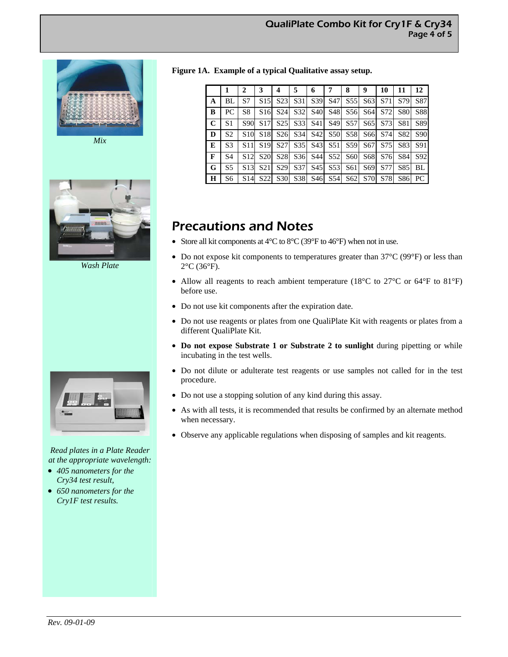



*Wash Plate* 



*Read plates in a Plate Reader at the appropriate wavelength:* 

- *405 nanometers for the Cry34 test result,*
- *650 nanometers for the Cry1F test results.*

**Figure 1A. Example of a typical Qualitative assay setup.**

|                |                | 2               | 3               | 4               | 5               | 6           | 7               | 8              | 9               | 10                                                                                                              | 11         | $12^{\circ}$    |
|----------------|----------------|-----------------|-----------------|-----------------|-----------------|-------------|-----------------|----------------|-----------------|-----------------------------------------------------------------------------------------------------------------|------------|-----------------|
| A              | BL             | S7              | S <sub>15</sub> | S <sub>23</sub> | S <sub>31</sub> | S39         | S47             | S <sub>5</sub> | S63             | S71                                                                                                             | S79        | S87             |
| B              | PC             | S <sub>8</sub>  | S <sub>16</sub> | S <sub>24</sub> | S <sub>32</sub> | <b>S40</b>  | S <sub>48</sub> |                | S56 S64         | S72                                                                                                             | <b>S80</b> | <b>S88</b>      |
| $\mathbf C$    | S <sub>1</sub> | S90             | S <sub>17</sub> | S <sub>25</sub> |                 | S33 S41     | S <sub>49</sub> |                |                 | S57 S65 S73                                                                                                     | S81        | S89             |
| D              | S <sub>2</sub> | S <sub>10</sub> | S <sub>18</sub> |                 |                 |             |                 |                |                 | S <sub>26</sub> S <sub>34</sub> S <sub>42</sub> S <sub>50</sub> S <sub>58</sub> S <sub>66</sub> S <sub>74</sub> | S82        | S <sub>90</sub> |
| $\overline{E}$ | S <sub>3</sub> | S11             | S <sub>19</sub> | S <sub>27</sub> |                 | S35 S43     |                 |                |                 | S51 S59 S67 S75                                                                                                 | S83        | S91             |
| $\mathbf{F}$   | S <sub>4</sub> | S <sub>12</sub> | <b>S20</b>      | S <sub>28</sub> |                 | S36 S44     | S52             |                |                 | S60 S68 S76                                                                                                     | S84        | S92             |
| G              | S <sub>5</sub> | S <sub>13</sub> | S <sub>21</sub> | S <sub>29</sub> | S <sub>37</sub> | S45         | S <sub>53</sub> | S61            | S <sub>69</sub> | <b>S77</b>                                                                                                      | S85        | BL              |
| H              | S6             | S14             | S <sub>22</sub> | S30             |                 | S38 S46 S54 |                 |                |                 | S62 S70 S78                                                                                                     | S86        | PC              |

### Precautions and Notes

- Store all kit components at  $4^{\circ}$ C to  $8^{\circ}$ C (39 $^{\circ}$ F to  $46^{\circ}$ F) when not in use.
- Do not expose kit components to temperatures greater than 37°C (99°F) or less than 2°C (36°F).
- Allow all reagents to reach ambient temperature (18°C to 27°C or 64°F to 81°F) before use.
- Do not use kit components after the expiration date.
- Do not use reagents or plates from one QualiPlate Kit with reagents or plates from a different QualiPlate Kit.
- **Do not expose Substrate 1 or Substrate 2 to sunlight** during pipetting or while incubating in the test wells.
- Do not dilute or adulterate test reagents or use samples not called for in the test procedure.
- Do not use a stopping solution of any kind during this assay.
- As with all tests, it is recommended that results be confirmed by an alternate method when necessary.
- Observe any applicable regulations when disposing of samples and kit reagents.